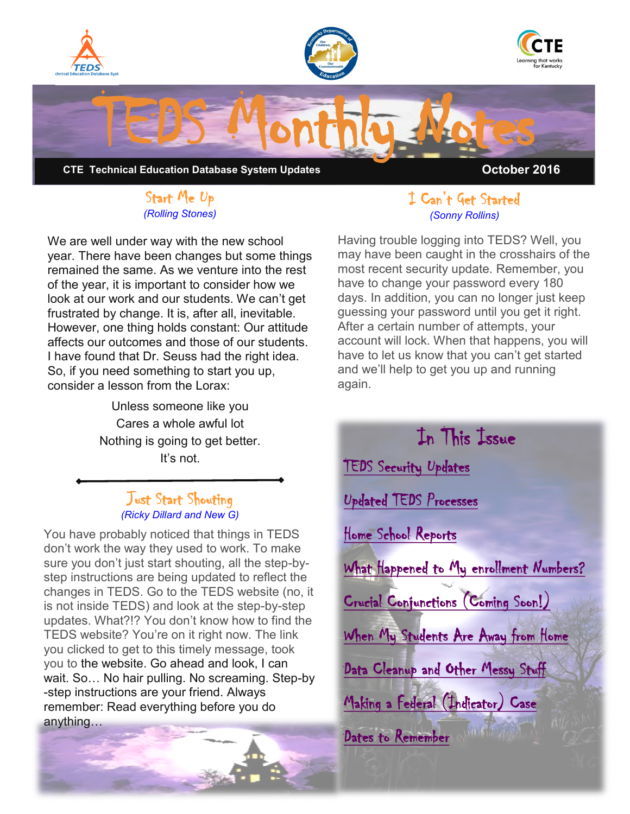<span id="page-0-0"></span>

#### Start Me Up *(Rolling Stones)*

We are well under way with the new school year. There have been changes but some things remained the same. As we venture into the rest of the year, it is important to consider how we look at our work and our students. We can't get frustrated by change. It is, after all, inevitable. However, one thing holds constant: Our attitude affects our outcomes and those of our students. I have found that Dr. Seuss had the right idea. So, if you need something to start you up, consider a lesson from the Lorax:

> Unless someone like you Cares a whole awful lot Nothing is going to get better. It's not.

#### Just Start Shouting *(Ricky Dillard and New G)*

You have probably noticed that things in TEDS don't work the way they used to work. To make sure you don't just start shouting, all the step-bystep instructions are being updated to reflect the changes in TEDS. Go to the TEDS website (no, it is not inside TEDS) and look at the step-by-step updates. What?!? You don't know how to find the TEDS website? You're on it right now. The link you clicked to get to this timely message, took you to the website. Go ahead and look, I can wait. So… No hair pulling. No screaming. Step-by -step instructions are your friend. Always remember: Read everything before you do anything…

#### I Can't Get Started *(Sonny Rollins)*

Having trouble logging into TEDS? Well, you may have been caught in the crosshairs of the most recent security update. Remember, you have to change your password every 180 days. In addition, you can no longer just keep guessing your password until you get it right. After a certain number of attempts, your account will lock. When that happens, you will have to let us know that you can't get started and we'll help to get you up and running again.

# In This Issue [TEDS Security Updates](#page-0-0)  [Updated TEDS Processes](#page-0-0)  [Home School Reports](#page-1-0)  [What Happened to My enrollment Numbers?](#page-1-0)  [Crucial Conjunctions \(Coming Soon!\)](#page-1-0)  [When My Students Are Away from Home](#page-1-0)  Data Cleanup and Other Messy Stuff [Making a Federal \(Indicator\) Case](#page-2-0)  [Dates to Remember](#page-2-0)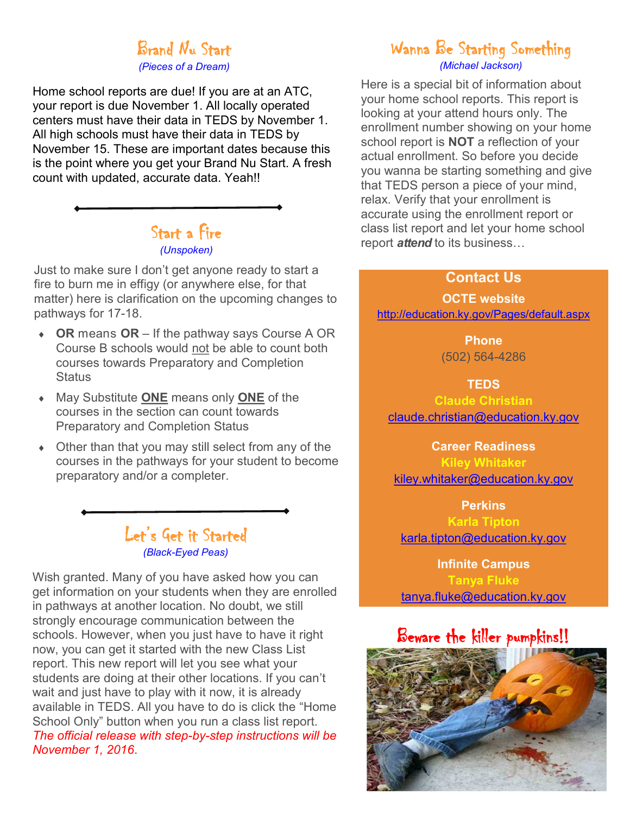# Brand Nu Start

*(Pieces of a Dream)*

<span id="page-1-0"></span>Home school reports are due! If you are at an ATC, your report is due November 1. All locally operated centers must have their data in TEDS by November 1. All high schools must have their data in TEDS by November 15. These are important dates because this is the point where you get your Brand Nu Start. A fresh count with updated, accurate data. Yeah!!

# Start a Fire *(Unspoken)*

Just to make sure I don't get anyone ready to start a fire to burn me in effigy (or anywhere else, for that matter) here is clarification on the upcoming changes to pathways for 17-18.

- **OR** means **OR** If the pathway says Course A OR Course B schools would not be able to count both courses towards Preparatory and Completion **Status**
- May Substitute **ONE** means only **ONE** of the courses in the section can count towards Preparatory and Completion Status
- Other than that you may still select from any of the courses in the pathways for your student to become preparatory and/or a completer.

# Let's Get it Started *(Black-Eyed Peas)*

Wish granted. Many of you have asked how you can get information on your students when they are enrolled in pathways at another location. No doubt, we still strongly encourage communication between the schools. However, when you just have to have it right now, you can get it started with the new Class List report. This new report will let you see what your students are doing at their other locations. If you can't wait and just have to play with it now, it is already available in TEDS. All you have to do is click the "Home School Only" button when you run a class list report. *The official release with step-by-step instructions will be November 1, 2016*.

# Wanna Be Starting Something *(Michael Jackson)*

Here is a special bit of information about your home school reports. This report is looking at your attend hours only. The enrollment number showing on your home school report is **NOT** a reflection of your actual enrollment. So before you decide you wanna be starting something and give that TEDS person a piece of your mind, relax. Verify that your enrollment is accurate using the enrollment report or class list report and let your home school report *attend* to its business…

#### **Contact Us**

**OCTE website** <http://education.ky.gov/Pages/default.aspx>

> **Phone** (502) 564-4286

> > **TEDS**

**Claude Christian** [claude.christian@education.ky.gov](mailto:claude.christian@education.ky.gov)

**Career Readiness**

**Kiley Whitaker** [kiley.whitaker@education.ky.gov](mailto:kiley.whitaker@education.ky.gov)

**Perkins**

**Karla Tipton** [karla.tipton@education.ky.gov](mailto:karla.tipton@education.ky.gov)

**Infinite Campus Tanya Fluke** [tanya.fluke@education.ky.gov](mailto:tanya.fluke@education.ky.gov)

Beware the killer pumpkins!!